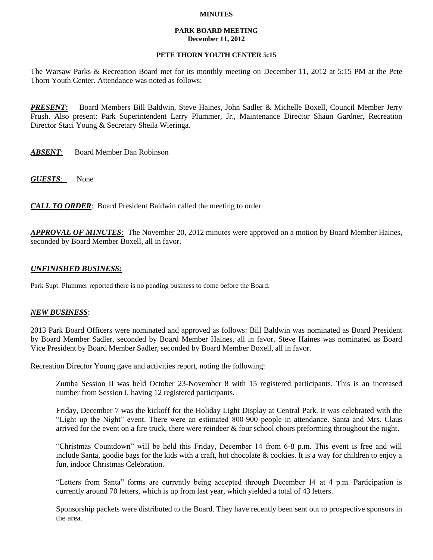### **MINUTES**

### **PARK BOARD MEETING December 11, 2012**

# **PETE THORN YOUTH CENTER 5:15**

The Warsaw Parks & Recreation Board met for its monthly meeting on December 11, 2012 at 5:15 PM at the Pete Thorn Youth Center. Attendance was noted as follows:

*PRESENT***:** Board Members Bill Baldwin, Steve Haines, John Sadler & Michelle Boxell, Council Member Jerry Frush. Also present: Park Superintendent Larry Plummer, Jr., Maintenance Director Shaun Gardner, Recreation Director Staci Young & Secretary Sheila Wieringa.

*ABSENT*: Board Member Dan Robinson

*GUESTS:*None

*CALL TO ORDER*: Board President Baldwin called the meeting to order.

*APPROVAL OF MINUTES:* The November 20, 2012 minutes were approved on a motion by Board Member Haines, seconded by Board Member Boxell, all in favor.

# *UNFINISHED BUSINESS:*

Park Supt. Plummer reported there is no pending business to come before the Board.

### *NEW BUSINESS*:

2013 Park Board Officers were nominated and approved as follows: Bill Baldwin was nominated as Board President by Board Member Sadler, seconded by Board Member Haines, all in favor. Steve Haines was nominated as Board Vice President by Board Member Sadler, seconded by Board Member Boxell, all in favor.

Recreation Director Young gave and activities report, noting the following:

Zumba Session II was held October 23-November 8 with 15 registered participants. This is an increased number from Session I, having 12 registered participants.

Friday, December 7 was the kickoff for the Holiday Light Display at Central Park. It was celebrated with the "Light up the Night" event. There were an estimated 800-900 people in attendance. Santa and Mrs. Claus arrived for the event on a fire truck, there were reindeer  $\&$  four school choirs preforming throughout the night.

"Christmas Countdown" will be held this Friday, December 14 from 6-8 p.m. This event is free and will include Santa, goodie bags for the kids with a craft, hot chocolate & cookies. It is a way for children to enjoy a fun, indoor Christmas Celebration.

"Letters from Santa" forms are currently being accepted through December 14 at 4 p.m. Participation is currently around 70 letters, which is up from last year, which yielded a total of 43 letters.

Sponsorship packets were distributed to the Board. They have recently been sent out to prospective sponsors in the area.